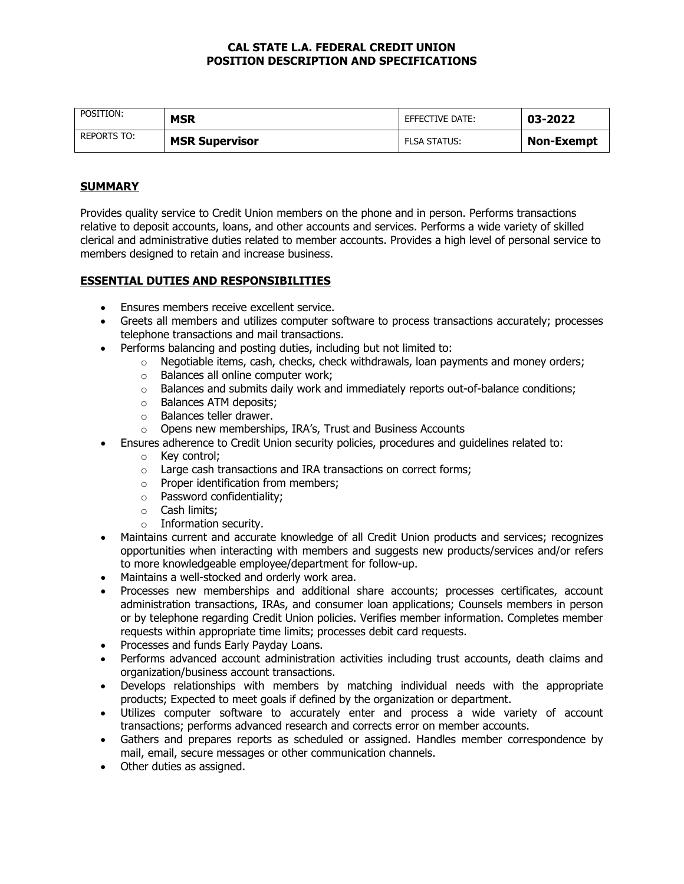## **CAL STATE L.A. FEDERAL CREDIT UNION POSITION DESCRIPTION AND SPECIFICATIONS**

| POSITION:   | MSR                   | EFFECTIVE DATE:     | 03-2022           |
|-------------|-----------------------|---------------------|-------------------|
| REPORTS TO: | <b>MSR Supervisor</b> | <b>FLSA STATUS:</b> | <b>Non-Exempt</b> |

# **SUMMARY**

Provides quality service to Credit Union members on the phone and in person. Performs transactions relative to deposit accounts, loans, and other accounts and services. Performs a wide variety of skilled clerical and administrative duties related to member accounts. Provides a high level of personal service to members designed to retain and increase business.

## **ESSENTIAL DUTIES AND RESPONSIBILITIES**

- Ensures members receive excellent service.
- Greets all members and utilizes computer software to process transactions accurately; processes telephone transactions and mail transactions.
- Performs balancing and posting duties, including but not limited to:
	- $\circ$  Negotiable items, cash, checks, check withdrawals, loan payments and money orders;
	- o Balances all online computer work;
	- $\circ$  Balances and submits daily work and immediately reports out-of-balance conditions;
	- o Balances ATM deposits;
	- o Balances teller drawer.
	- o Opens new memberships, IRA's, Trust and Business Accounts
- Ensures adherence to Credit Union security policies, procedures and guidelines related to:
	- o Key control;
	- o Large cash transactions and IRA transactions on correct forms;
	- o Proper identification from members;
	- o Password confidentiality;
	- o Cash limits;
	- $\circ$  Information security.
- Maintains current and accurate knowledge of all Credit Union products and services; recognizes opportunities when interacting with members and suggests new products/services and/or refers to more knowledgeable employee/department for follow-up.
- Maintains a well-stocked and orderly work area.
- Processes new memberships and additional share accounts; processes certificates, account administration transactions, IRAs, and consumer loan applications; Counsels members in person or by telephone regarding Credit Union policies. Verifies member information. Completes member requests within appropriate time limits; processes debit card requests.
- Processes and funds Early Payday Loans.
- Performs advanced account administration activities including trust accounts, death claims and organization/business account transactions.
- Develops relationships with members by matching individual needs with the appropriate products; Expected to meet goals if defined by the organization or department.
- Utilizes computer software to accurately enter and process a wide variety of account transactions; performs advanced research and corrects error on member accounts.
- Gathers and prepares reports as scheduled or assigned. Handles member correspondence by mail, email, secure messages or other communication channels.
- Other duties as assigned.